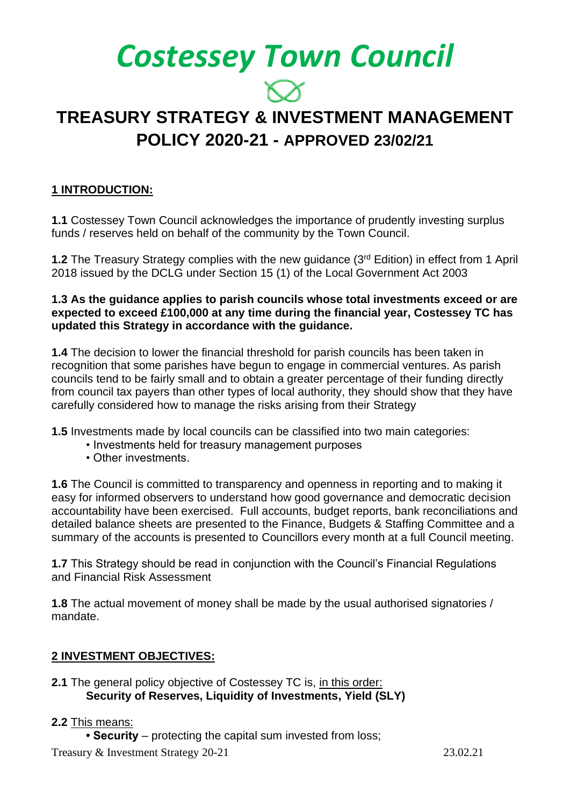# *Costessey Town Council*

# **TREASURY STRATEGY & INVESTMENT MANAGEMENT POLICY 2020-21 - APPROVED 23/02/21**

### **1 INTRODUCTION:**

**1.1** Costessey Town Council acknowledges the importance of prudently investing surplus funds / reserves held on behalf of the community by the Town Council.

**1.2** The Treasury Strategy complies with the new guidance (3<sup>rd</sup> Edition) in effect from 1 April 2018 issued by the DCLG under Section 15 (1) of the Local Government Act 2003

#### **1.3 As the guidance applies to parish councils whose total investments exceed or are expected to exceed £100,000 at any time during the financial year, Costessey TC has updated this Strategy in accordance with the guidance.**

**1.4** The decision to lower the financial threshold for parish councils has been taken in recognition that some parishes have begun to engage in commercial ventures. As parish councils tend to be fairly small and to obtain a greater percentage of their funding directly from council tax payers than other types of local authority, they should show that they have carefully considered how to manage the risks arising from their Strategy

**1.5** Investments made by local councils can be classified into two main categories:

- Investments held for treasury management purposes
- Other investments.

**1.6** The Council is committed to transparency and openness in reporting and to making it easy for informed observers to understand how good governance and democratic decision accountability have been exercised. Full accounts, budget reports, bank reconciliations and detailed balance sheets are presented to the Finance, Budgets & Staffing Committee and a summary of the accounts is presented to Councillors every month at a full Council meeting.

**1.7** This Strategy should be read in conjunction with the Council's Financial Regulations and Financial Risk Assessment

**1.8** The actual movement of money shall be made by the usual authorised signatories / mandate.

#### **2 INVESTMENT OBJECTIVES:**

#### **2.1** The general policy objective of Costessey TC is, in this order: **Security of Reserves, Liquidity of Investments, Yield (SLY)**

#### **2.2** This means:

**• Security** – protecting the capital sum invested from loss;

Treasury & Investment Strategy 20-21 23.02.21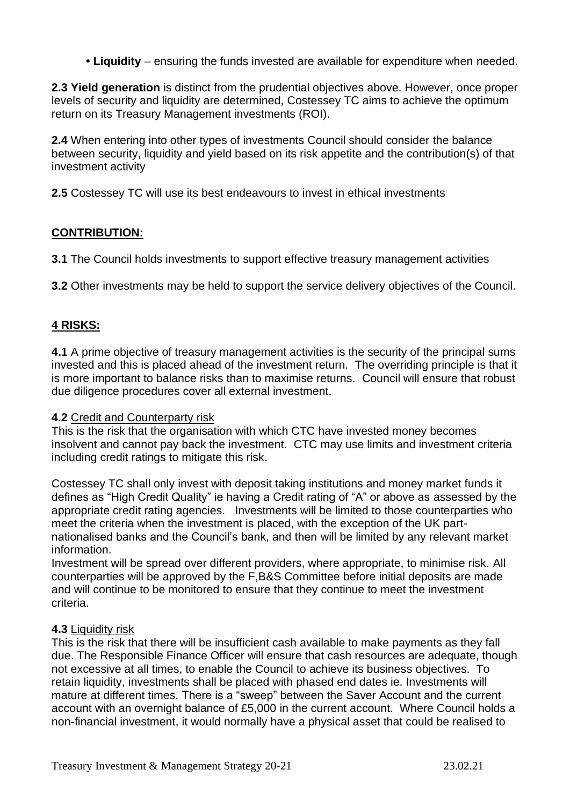**• Liquidity** – ensuring the funds invested are available for expenditure when needed.

**2.3 Yield generation** is distinct from the prudential objectives above. However, once proper levels of security and liquidity are determined, Costessey TC aims to achieve the optimum return on its Treasury Management investments (ROI).

**2.4** When entering into other types of investments Council should consider the balance between security, liquidity and yield based on its risk appetite and the contribution(s) of that investment activity

**2.5** Costessey TC will use its best endeavours to invest in ethical investments

#### **CONTRIBUTION:**

**3.1** The Council holds investments to support effective treasury management activities

**3.2** Other investments may be held to support the service delivery objectives of the Council.

#### **4 RISKS:**

**4.1** A prime objective of treasury management activities is the security of the principal sums invested and this is placed ahead of the investment return. The overriding principle is that it is more important to balance risks than to maximise returns. Council will ensure that robust due diligence procedures cover all external investment.

#### **4.2** Credit and Counterparty risk

This is the risk that the organisation with which CTC have invested money becomes insolvent and cannot pay back the investment. CTC may use limits and investment criteria including credit ratings to mitigate this risk.

Costessey TC shall only invest with deposit taking institutions and money market funds it defines as "High Credit Quality" ie having a Credit rating of "A" or above as assessed by the appropriate credit rating agencies. Investments will be limited to those counterparties who meet the criteria when the investment is placed, with the exception of the UK partnationalised banks and the Council's bank, and then will be limited by any relevant market information.

Investment will be spread over different providers, where appropriate, to minimise risk. All counterparties will be approved by the F,B&S Committee before initial deposits are made and will continue to be monitored to ensure that they continue to meet the investment criteria.

#### **4.3** Liquidity risk

This is the risk that there will be insufficient cash available to make payments as they fall due. The Responsible Finance Officer will ensure that cash resources are adequate, though not excessive at all times, to enable the Council to achieve its business objectives. To retain liquidity, investments shall be placed with phased end dates ie. Investments will mature at different times. There is a "sweep" between the Saver Account and the current account with an overnight balance of £5,000 in the current account. Where Council holds a non-financial investment, it would normally have a physical asset that could be realised to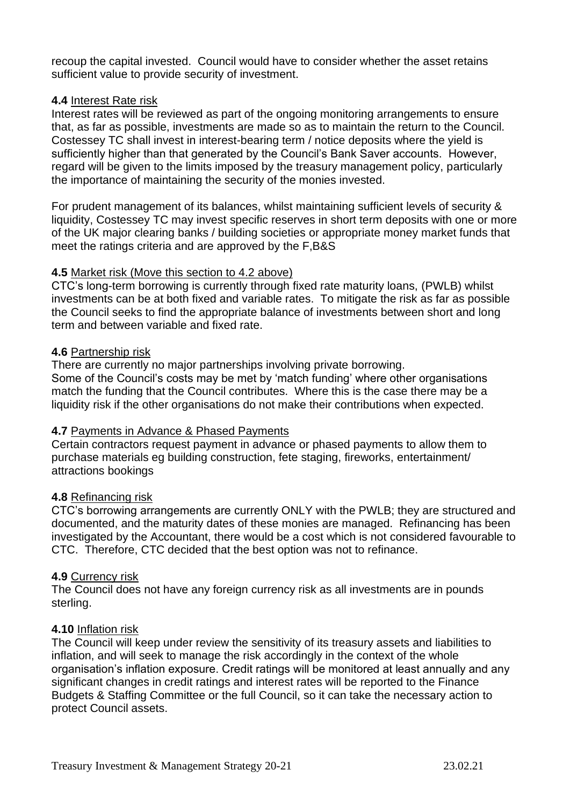recoup the capital invested. Council would have to consider whether the asset retains sufficient value to provide security of investment.

#### **4.4** Interest Rate risk

Interest rates will be reviewed as part of the ongoing monitoring arrangements to ensure that, as far as possible, investments are made so as to maintain the return to the Council. Costessey TC shall invest in interest-bearing term / notice deposits where the yield is sufficiently higher than that generated by the Council's Bank Saver accounts. However, regard will be given to the limits imposed by the treasury management policy, particularly the importance of maintaining the security of the monies invested.

For prudent management of its balances, whilst maintaining sufficient levels of security & liquidity, Costessey TC may invest specific reserves in short term deposits with one or more of the UK major clearing banks / building societies or appropriate money market funds that meet the ratings criteria and are approved by the F,B&S

#### **4.5** Market risk (Move this section to 4.2 above)

CTC's long-term borrowing is currently through fixed rate maturity loans, (PWLB) whilst investments can be at both fixed and variable rates. To mitigate the risk as far as possible the Council seeks to find the appropriate balance of investments between short and long term and between variable and fixed rate.

#### **4.6** Partnership risk

There are currently no major partnerships involving private borrowing. Some of the Council's costs may be met by 'match funding' where other organisations match the funding that the Council contributes. Where this is the case there may be a liquidity risk if the other organisations do not make their contributions when expected.

#### **4.7** Payments in Advance & Phased Payments

Certain contractors request payment in advance or phased payments to allow them to purchase materials eg building construction, fete staging, fireworks, entertainment/ attractions bookings

#### **4.8** Refinancing risk

CTC's borrowing arrangements are currently ONLY with the PWLB; they are structured and documented, and the maturity dates of these monies are managed. Refinancing has been investigated by the Accountant, there would be a cost which is not considered favourable to CTC. Therefore, CTC decided that the best option was not to refinance.

#### **4.9** Currency risk

The Council does not have any foreign currency risk as all investments are in pounds sterling.

#### **4.10** Inflation risk

The Council will keep under review the sensitivity of its treasury assets and liabilities to inflation, and will seek to manage the risk accordingly in the context of the whole organisation's inflation exposure. Credit ratings will be monitored at least annually and any significant changes in credit ratings and interest rates will be reported to the Finance Budgets & Staffing Committee or the full Council, so it can take the necessary action to protect Council assets.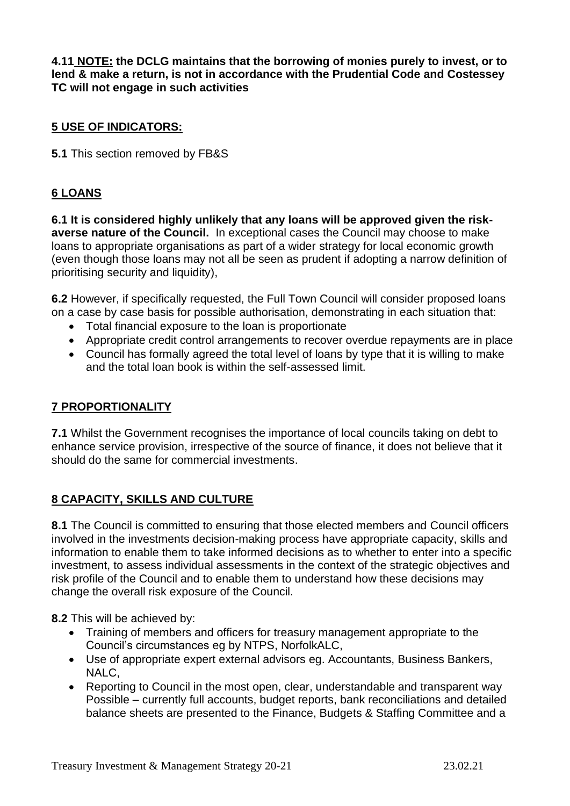**4.11 NOTE: the DCLG maintains that the borrowing of monies purely to invest, or to lend & make a return, is not in accordance with the Prudential Code and Costessey TC will not engage in such activities**

#### **5 USE OF INDICATORS:**

**5.1** This section removed by FB&S

#### **6 LOANS**

**6.1 It is considered highly unlikely that any loans will be approved given the riskaverse nature of the Council.** In exceptional cases the Council may choose to make loans to appropriate organisations as part of a wider strategy for local economic growth (even though those loans may not all be seen as prudent if adopting a narrow definition of prioritising security and liquidity),

**6.2** However, if specifically requested, the Full Town Council will consider proposed loans on a case by case basis for possible authorisation, demonstrating in each situation that:

- Total financial exposure to the loan is proportionate
- Appropriate credit control arrangements to recover overdue repayments are in place
- Council has formally agreed the total level of loans by type that it is willing to make and the total loan book is within the self-assessed limit.

#### **7 PROPORTIONALITY**

**7.1** Whilst the Government recognises the importance of local councils taking on debt to enhance service provision, irrespective of the source of finance, it does not believe that it should do the same for commercial investments.

#### **8 CAPACITY, SKILLS AND CULTURE**

**8.1** The Council is committed to ensuring that those elected members and Council officers involved in the investments decision-making process have appropriate capacity, skills and information to enable them to take informed decisions as to whether to enter into a specific investment, to assess individual assessments in the context of the strategic objectives and risk profile of the Council and to enable them to understand how these decisions may change the overall risk exposure of the Council.

**8.2** This will be achieved by:

- Training of members and officers for treasury management appropriate to the Council's circumstances eg by NTPS, NorfolkALC,
- Use of appropriate expert external advisors eg. Accountants, Business Bankers, NALC,
- Reporting to Council in the most open, clear, understandable and transparent way Possible – currently full accounts, budget reports, bank reconciliations and detailed balance sheets are presented to the Finance, Budgets & Staffing Committee and a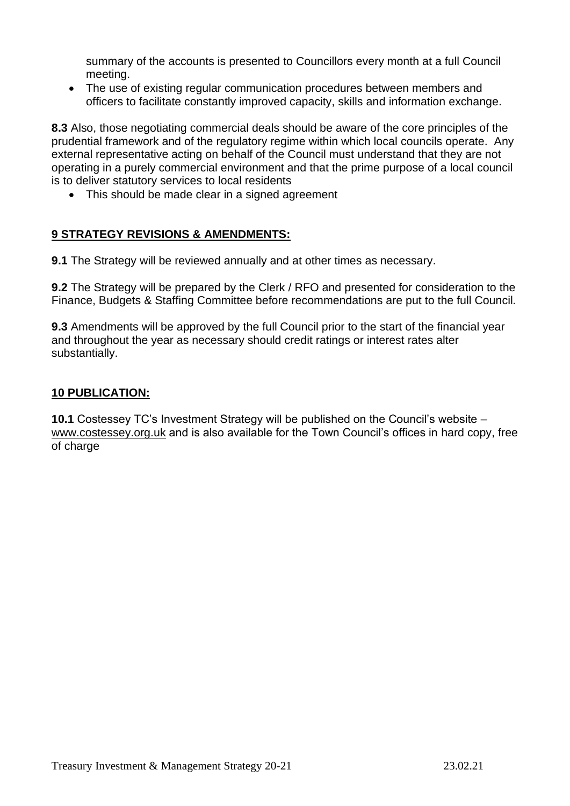summary of the accounts is presented to Councillors every month at a full Council meeting.

• The use of existing regular communication procedures between members and officers to facilitate constantly improved capacity, skills and information exchange.

**8.3** Also, those negotiating commercial deals should be aware of the core principles of the prudential framework and of the regulatory regime within which local councils operate. Any external representative acting on behalf of the Council must understand that they are not operating in a purely commercial environment and that the prime purpose of a local council is to deliver statutory services to local residents

• This should be made clear in a signed agreement

#### **9 STRATEGY REVISIONS & AMENDMENTS:**

**9.1** The Strategy will be reviewed annually and at other times as necessary.

**9.2** The Strategy will be prepared by the Clerk / RFO and presented for consideration to the Finance, Budgets & Staffing Committee before recommendations are put to the full Council.

**9.3** Amendments will be approved by the full Council prior to the start of the financial year and throughout the year as necessary should credit ratings or interest rates alter substantially.

#### **10 PUBLICATION:**

**10.1** Costessey TC's Investment Strategy will be published on the Council's website – www.costessey.org.uk and is also available for the Town Council's offices in hard copy, free of charge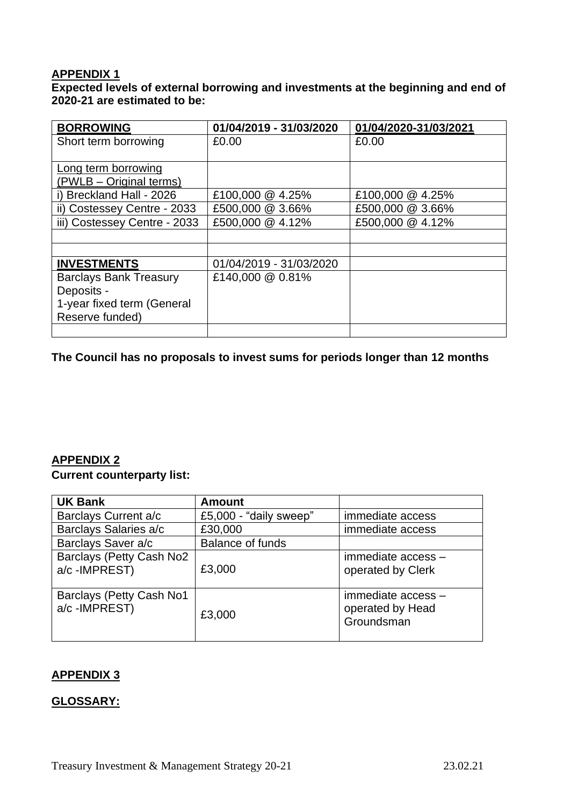## **APPENDIX 1**

**Expected levels of external borrowing and investments at the beginning and end of 2020-21 are estimated to be:**

| <b>BORROWING</b>              | 01/04/2019 - 31/03/2020 | 01/04/2020-31/03/2021 |
|-------------------------------|-------------------------|-----------------------|
| Short term borrowing          | £0.00                   | £0.00                 |
|                               |                         |                       |
| Long term borrowing           |                         |                       |
| (PWLB - Original terms)       |                         |                       |
| i) Breckland Hall - 2026      | £100,000 @ 4.25%        | £100,000 @ 4.25%      |
| ii) Costessey Centre - 2033   | £500,000 @ 3.66%        | £500,000 @ 3.66%      |
| iii) Costessey Centre - 2033  | £500,000 @ 4.12%        | £500,000 @ 4.12%      |
|                               |                         |                       |
|                               |                         |                       |
| <b>INVESTMENTS</b>            | 01/04/2019 - 31/03/2020 |                       |
| <b>Barclays Bank Treasury</b> | £140,000 @ 0.81%        |                       |
| Deposits -                    |                         |                       |
| 1-year fixed term (General    |                         |                       |
| Reserve funded)               |                         |                       |
|                               |                         |                       |

**The Council has no proposals to invest sums for periods longer than 12 months**

### **APPENDIX 2**

#### **Current counterparty list:**

| <b>UK Bank</b>                           | <b>Amount</b>           |                                                      |
|------------------------------------------|-------------------------|------------------------------------------------------|
| Barclays Current a/c                     | £5,000 - "daily sweep"  | immediate access                                     |
| Barclays Salaries a/c                    | £30,000                 | immediate access                                     |
| Barclays Saver a/c                       | <b>Balance of funds</b> |                                                      |
| Barclays (Petty Cash No2<br>a/c-IMPREST) | £3,000                  | immediate access -<br>operated by Clerk              |
| Barclays (Petty Cash No1<br>a/c-IMPREST) | £3,000                  | immediate access -<br>operated by Head<br>Groundsman |

#### **APPENDIX 3**

#### **GLOSSARY:**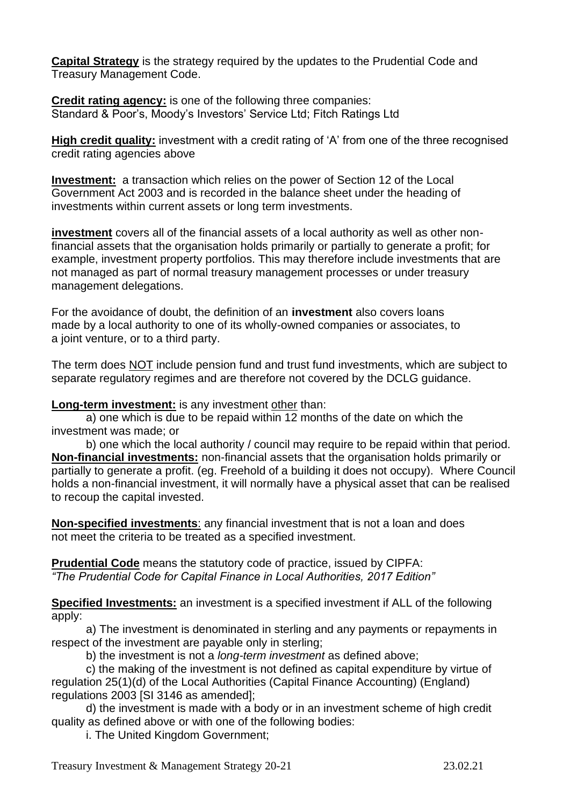**Capital Strategy** is the strategy required by the updates to the Prudential Code and Treasury Management Code.

**Credit rating agency:** is one of the following three companies: Standard & Poor's, Moody's Investors' Service Ltd; Fitch Ratings Ltd

**High credit quality:** investment with a credit rating of 'A' from one of the three recognised credit rating agencies above

**Investment:** a transaction which relies on the power of Section 12 of the Local Government Act 2003 and is recorded in the balance sheet under the heading of investments within current assets or long term investments.

**investment** covers all of the financial assets of a local authority as well as other nonfinancial assets that the organisation holds primarily or partially to generate a profit; for example, investment property portfolios. This may therefore include investments that are not managed as part of normal treasury management processes or under treasury management delegations.

For the avoidance of doubt, the definition of an **investment** also covers loans made by a local authority to one of its wholly-owned companies or associates, to a joint venture, or to a third party.

The term does NOT include pension fund and trust fund investments, which are subject to separate regulatory regimes and are therefore not covered by the DCLG guidance.

**Long-term investment:** is any investment other than:

a) one which is due to be repaid within 12 months of the date on which the investment was made; or

b) one which the local authority / council may require to be repaid within that period. **Non-financial investments:** non-financial assets that the organisation holds primarily or partially to generate a profit. (eg. Freehold of a building it does not occupy). Where Council holds a non-financial investment, it will normally have a physical asset that can be realised to recoup the capital invested.

**Non-specified investments**: any financial investment that is not a loan and does not meet the criteria to be treated as a specified investment.

**Prudential Code** means the statutory code of practice, issued by CIPFA: *"The Prudential Code for Capital Finance in Local Authorities, 2017 Edition"*

**Specified Investments:** an investment is a specified investment if ALL of the following apply:

a) The investment is denominated in sterling and any payments or repayments in respect of the investment are payable only in sterling;

b) the investment is not a *long-term investment* as defined above;

c) the making of the investment is not defined as capital expenditure by virtue of regulation 25(1)(d) of the Local Authorities (Capital Finance Accounting) (England) regulations 2003 [SI 3146 as amended];

d) the investment is made with a body or in an investment scheme of high credit quality as defined above or with one of the following bodies:

i. The United Kingdom Government;